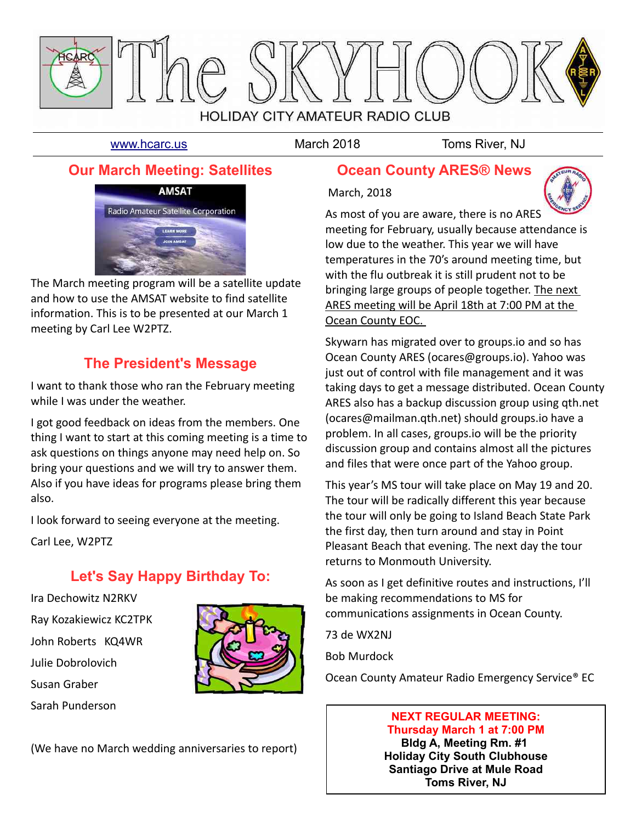

March, 2018

[www.hcarc.us](http://www.hcarc.us/) March 2018 Toms River, NJ

## **Our March Meeting: Satellites**



The March meeting program will be a satellite update and how to use the AMSAT website to find satellite information. This is to be presented at our March 1 meeting by Carl Lee W2PTZ.

## **The President's Message**

I want to thank those who ran the February meeting while I was under the weather.

I got good feedback on ideas from the members. One thing I want to start at this coming meeting is a time to ask questions on things anyone may need help on. So bring your questions and we will try to answer them. Also if you have ideas for programs please bring them also.

I look forward to seeing everyone at the meeting.

Carl Lee, W2PTZ

## **Let's Say Happy Birthday To:**

Ira Dechowitz N2RKV Ray Kozakiewicz KC2TPK John Roberts KQ4WR Julie Dobrolovich Susan Graber Sarah Punderson



(We have no March wedding anniversaries to report)

## **Ocean County ARES® News**



As most of you are aware, there is no ARES

meeting for February, usually because attendance is low due to the weather. This year we will have temperatures in the 70's around meeting time, but with the flu outbreak it is still prudent not to be bringing large groups of people together. The next ARES meeting will be April 18th at 7:00 PM at the Ocean County EOC.

Skywarn has migrated over to groups.io and so has Ocean County ARES (ocares@groups.io). Yahoo was just out of control with file management and it was taking days to get a message distributed. Ocean County ARES also has a backup discussion group using qth.net (ocares@mailman.qth.net) should groups.io have a problem. In all cases, groups.io will be the priority discussion group and contains almost all the pictures and files that were once part of the Yahoo group.

This year's MS tour will take place on May 19 and 20. The tour will be radically different this year because the tour will only be going to Island Beach State Park the first day, then turn around and stay in Point Pleasant Beach that evening. The next day the tour returns to Monmouth University.

As soon as I get definitive routes and instructions, I'll be making recommendations to MS for communications assignments in Ocean County.

73 de WX2NJ

Bob Murdock

Ocean County Amateur Radio Emergency Service® EC

## **NEXT REGULAR MEETING: Thursday March 1 at 7:00 PM**

**Bldg A, Meeting Rm. #1 Holiday City South Clubhouse Santiago Drive at Mule Road Toms River, NJ**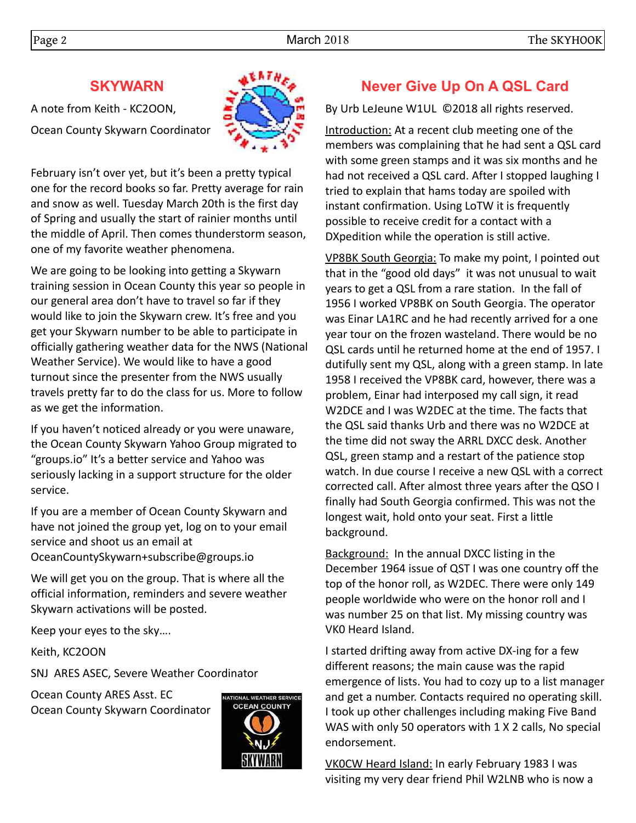## **SKYWARN**

A note from Keith - KC2OON, Ocean County Skywarn Coordinator



February isn't over yet, but it's been a pretty typical one for the record books so far. Pretty average for rain and snow as well. Tuesday March 20th is the first day of Spring and usually the start of rainier months until the middle of April. Then comes thunderstorm season, one of my favorite weather phenomena.

We are going to be looking into getting a Skywarn training session in Ocean County this year so people in our general area don't have to travel so far if they would like to join the Skywarn crew. It's free and you get your Skywarn number to be able to participate in officially gathering weather data for the NWS (National Weather Service). We would like to have a good turnout since the presenter from the NWS usually travels pretty far to do the class for us. More to follow as we get the information.

If you haven't noticed already or you were unaware, the Ocean County Skywarn Yahoo Group migrated to "groups.io" It's a better service and Yahoo was seriously lacking in a support structure for the older service.

If you are a member of Ocean County Skywarn and have not joined the group yet, log on to your email service and shoot us an email at OceanCountySkywarn+subscribe@groups.io

We will get you on the group. That is where all the official information, reminders and severe weather Skywarn activations will be posted.

Keep your eyes to the sky….

Keith, KC2OON

SNJ ARES ASEC, Severe Weather Coordinator

Ocean County ARES Asst. EC Ocean County Skywarn Coordinator



## **Never Give Up On A QSL Card**

By Urb LeJeune W1UL ©2018 all rights reserved.

Introduction: At a recent club meeting one of the members was complaining that he had sent a QSL card with some green stamps and it was six months and he had not received a QSL card. After I stopped laughing I tried to explain that hams today are spoiled with instant confirmation. Using LoTW it is frequently possible to receive credit for a contact with a DXpedition while the operation is still active.

VP8BK South Georgia: To make my point, I pointed out that in the "good old days" it was not unusual to wait years to get a QSL from a rare station. In the fall of 1956 I worked VP8BK on South Georgia. The operator was Einar LA1RC and he had recently arrived for a one year tour on the frozen wasteland. There would be no QSL cards until he returned home at the end of 1957. I dutifully sent my QSL, along with a green stamp. In late 1958 I received the VP8BK card, however, there was a problem, Einar had interposed my call sign, it read W2DCE and I was W2DEC at the time. The facts that the QSL said thanks Urb and there was no W2DCE at the time did not sway the ARRL DXCC desk. Another QSL, green stamp and a restart of the patience stop watch. In due course I receive a new QSL with a correct corrected call. After almost three years after the QSO I finally had South Georgia confirmed. This was not the longest wait, hold onto your seat. First a little background.

Background: In the annual DXCC listing in the December 1964 issue of QST I was one country off the top of the honor roll, as W2DEC. There were only 149 people worldwide who were on the honor roll and I was number 25 on that list. My missing country was VK0 Heard Island.

I started drifting away from active DX-ing for a few different reasons; the main cause was the rapid emergence of lists. You had to cozy up to a list manager and get a number. Contacts required no operating skill. I took up other challenges including making Five Band WAS with only 50 operators with 1 X 2 calls, No special endorsement.

VK0CW Heard Island: In early February 1983 I was visiting my very dear friend Phil W2LNB who is now a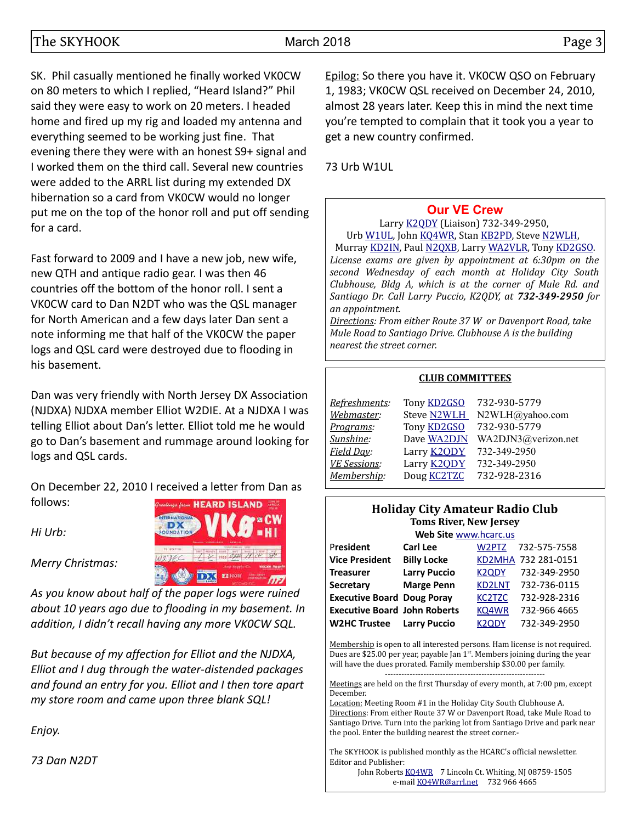SK. Phil casually mentioned he finally worked VK0CW on 80 meters to which I replied, "Heard Island?" Phil said they were easy to work on 20 meters. I headed home and fired up my rig and loaded my antenna and everything seemed to be working just fine. That evening there they were with an honest S9+ signal and I worked them on the third call. Several new countries were added to the ARRL list during my extended DX hibernation so a card from VK0CW would no longer put me on the top of the honor roll and put off sending for a card.

Fast forward to 2009 and I have a new job, new wife, new QTH and antique radio gear. I was then 46 countries off the bottom of the honor roll. I sent a VK0CW card to Dan N2DT who was the QSL manager for North American and a few days later Dan sent a note informing me that half of the VK0CW the paper logs and QSL card were destroyed due to flooding in his basement.

Dan was very friendly with North Jersey DX Association (NJDXA) NJDXA member Elliot W2DIE. At a NJDXA I was telling Elliot about Dan's letter. Elliot told me he would go to Dan's basement and rummage around looking for logs and QSL cards.

On December 22, 2010 I received a letter from Dan as follows: **PEARD ISLAND** 

*Hi Urb:*

*Merry Christmas:* 



*As you know about half of the paper logs were ruined about 10 years ago due to flooding in my basement. In addition, I didn't recall having any more VK0CW SQL.*

*But because of my affection for Elliot and the NJDXA, Elliot and I dug through the water-distended packages and found an entry for you. Elliot and I then tore apart my store room and came upon three blank SQL!*

*Enjoy.* 

*73 Dan N2DT*

Epilog: So there you have it. VK0CW QSO on February 1, 1983; VK0CW QSL received on December 24, 2010, almost 28 years later. Keep this in mind the next time you're tempted to complain that it took you a year to get a new country confirmed.

73 Urb W1UL

## **[Our VE Crew](mailto:lpuccio1@comcast.net?subject=VE)**

Larry [K2QDY](mailto:lpuccio1@comcast.net) (Liaison) 732-349-2950, Urb [W1UL,](mailto:urb@W1UL.com) John [KQ4WR,](mailto:kq4wr@arrl.net) Stan [KB2PD,](mailto:kb2pd@hotmail.com) Steve [N2WLH,](mailto:n2wlh@yahoo.com)

Murray [KD2IN,](mailto:murraykd2in@comcast.net) Paul [N2QXB,](mailto:n2qxb@juno.com) Larry [WA2VLR,](mailto:lloscalz@optonline.net) Tony [KD2GSO.](mailto:tonyk613@comcast.net) *License exams are given by appointment at 6:30pm on the second Wednesday of each month at Holiday City South Clubhouse, Bldg A, which is at the corner of Mule Rd. and Santiago Dr. Call Larry Puccio, K2QDY, at 732-349-2950 for an appointment.* 

*Directions: From either Route 37 W or Davenport Road, take Mule Road to Santiago Drive. Clubhouse A is the building nearest the street corner.*

#### **CLUB COMMITTEES**

|                    | 732-930-5779        |
|--------------------|---------------------|
| <b>Steve N2WLH</b> | N2WLH@yahoo.com     |
| Tony <b>KD2GSO</b> | 732-930-5779        |
| Dave WA2DJN        | WA2DJN3@verizon.net |
| Larry <b>K2QDY</b> | 732-349-2950        |
| Larry <b>K2ODY</b> | 732-349-2950        |
| Doug <b>KC2TZC</b> | 732-928-2316        |
|                    | Tony <b>KD2GSO</b>  |

#### **Holiday City Amateur Radio Club Toms River, New Jersey**

| Web Site www.hcarc.us               |                     |                    |                     |  |  |  |  |  |  |
|-------------------------------------|---------------------|--------------------|---------------------|--|--|--|--|--|--|
| President                           | Carl Lee            | W2PTZ              | 732-575-7558        |  |  |  |  |  |  |
| <b>Vice President</b>               | <b>Billy Locke</b>  |                    | KD2MHA 732 281-0151 |  |  |  |  |  |  |
| <b>Treasurer</b>                    | <b>Larry Puccio</b> | K <sub>2</sub> ODY | 732-349-2950        |  |  |  |  |  |  |
| <b>Secretary</b>                    | <b>Marge Penn</b>   | <b>KD2LNT</b>      | 732-736-0115        |  |  |  |  |  |  |
| <b>Executive Board Doug Poray</b>   |                     | <b>KC2TZC</b>      | 732-928-2316        |  |  |  |  |  |  |
| <b>Executive Board John Roberts</b> |                     | KQ4WR              | 732-966 4665        |  |  |  |  |  |  |
| <b>W2HC Trustee</b>                 | <b>Larry Puccio</b> | K <sub>2</sub> ODY | 732-349-2950        |  |  |  |  |  |  |

Membership is open to all interested persons. Ham license is not required. Dues are \$25.00 per year, payable Jan  $1<sup>st</sup>$ . Members joining during the year will have the dues prorated. Family membership \$30.00 per family. ----------------------------------------------------------

Meetings are held on the first Thursday of every month, at 7:00 pm, except December.

Location: Meeting Room #1 in the Holiday City South Clubhouse A. Directions: From either Route 37 W or Davenport Road, take Mule Road to Santiago Drive. Turn into the parking lot from Santiago Drive and park near the pool. Enter the building nearest the street corner.-

The SKYHOOK is published monthly as the HCARC's official newsletter. Editor and Publisher:

John Roberts [KQ4WR](mailto:kq4wr@arrl.net) 7 Lincoln Ct. Whiting, NJ 08759-1505 e-mail [KQ4WR@arrl.net](mailto:KQ4WR@arrl.net) 732 966 4665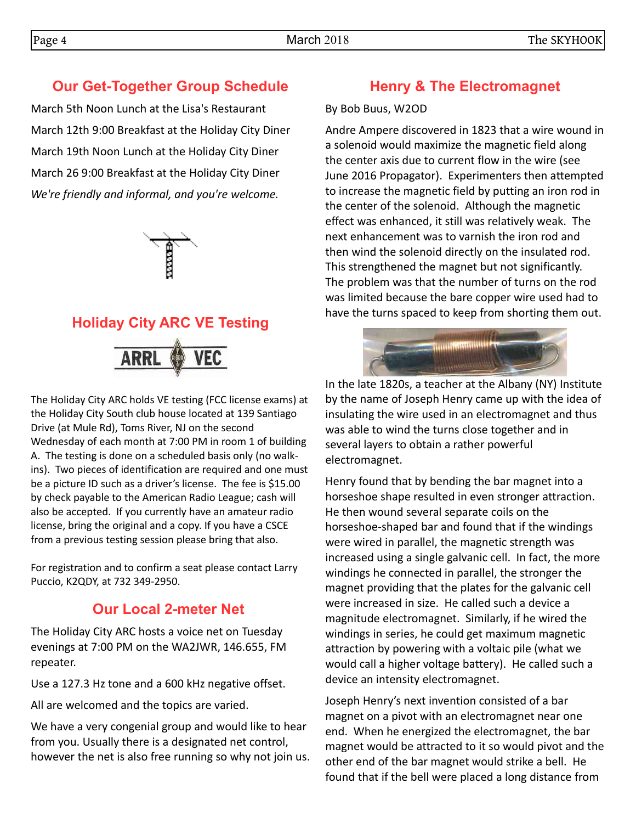# **Our Get-Together Group Schedule**

March 5th Noon Lunch at the Lisa's Restaurant March 12th 9:00 Breakfast at the Holiday City Diner March 19th Noon Lunch at the Holiday City Diner March 26 9:00 Breakfast at the Holiday City Diner *We're friendly and informal, and you're welcome.* 

# **Holiday City ARC VE Testing**



The Holiday City ARC holds VE testing (FCC license exams) at the Holiday City South club house located at 139 Santiago Drive (at Mule Rd), Toms River, NJ on the second Wednesday of each month at 7:00 PM in room 1 of building A. The testing is done on a scheduled basis only (no walkins). Two pieces of identification are required and one must be a picture ID such as a driver's license. The fee is \$15.00 by check payable to the American Radio League; cash will also be accepted. If you currently have an amateur radio license, bring the original and a copy. If you have a CSCE from a previous testing session please bring that also.

For registration and to confirm a seat please contact Larry Puccio, K2QDY, at 732 349-2950.

## **Our Local 2-meter Net**

The Holiday City ARC hosts a voice net on Tuesday evenings at 7:00 PM on the WA2JWR, 146.655, FM repeater.

Use a 127.3 Hz tone and a 600 kHz negative offset.

All are welcomed and the topics are varied.

We have a very congenial group and would like to hear from you. Usually there is a designated net control, however the net is also free running so why not join us.

## **Henry & The Electromagnet**

#### By Bob Buus, W2OD

Andre Ampere discovered in 1823 that a wire wound in a solenoid would maximize the magnetic field along the center axis due to current flow in the wire (see June 2016 Propagator). Experimenters then attempted to increase the magnetic field by putting an iron rod in the center of the solenoid. Although the magnetic effect was enhanced, it still was relatively weak. The next enhancement was to varnish the iron rod and then wind the solenoid directly on the insulated rod. This strengthened the magnet but not significantly. The problem was that the number of turns on the rod was limited because the bare copper wire used had to have the turns spaced to keep from shorting them out.



In the late 1820s, a teacher at the Albany (NY) Institute by the name of Joseph Henry came up with the idea of insulating the wire used in an electromagnet and thus was able to wind the turns close together and in several layers to obtain a rather powerful electromagnet.

Henry found that by bending the bar magnet into a horseshoe shape resulted in even stronger attraction. He then wound several separate coils on the horseshoe-shaped bar and found that if the windings were wired in parallel, the magnetic strength was increased using a single galvanic cell. In fact, the more windings he connected in parallel, the stronger the magnet providing that the plates for the galvanic cell were increased in size. He called such a device a magnitude electromagnet. Similarly, if he wired the windings in series, he could get maximum magnetic attraction by powering with a voltaic pile (what we would call a higher voltage battery). He called such a device an intensity electromagnet.

Joseph Henry's next invention consisted of a bar magnet on a pivot with an electromagnet near one end. When he energized the electromagnet, the bar magnet would be attracted to it so would pivot and the other end of the bar magnet would strike a bell. He found that if the bell were placed a long distance from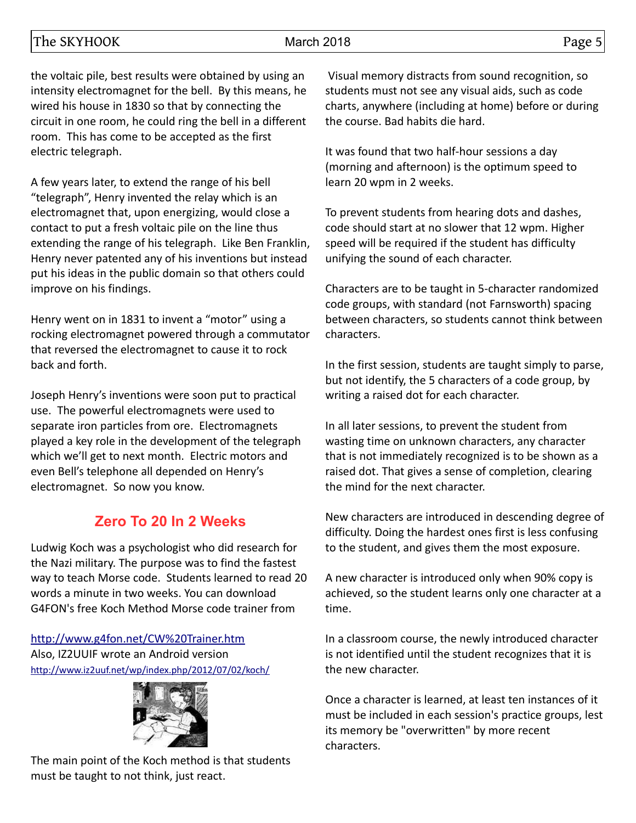the voltaic pile, best results were obtained by using an intensity electromagnet for the bell. By this means, he wired his house in 1830 so that by connecting the circuit in one room, he could ring the bell in a different room. This has come to be accepted as the first electric telegraph.

A few years later, to extend the range of his bell "telegraph", Henry invented the relay which is an electromagnet that, upon energizing, would close a contact to put a fresh voltaic pile on the line thus extending the range of his telegraph. Like Ben Franklin, Henry never patented any of his inventions but instead put his ideas in the public domain so that others could improve on his findings.

Henry went on in 1831 to invent a "motor" using a rocking electromagnet powered through a commutator that reversed the electromagnet to cause it to rock back and forth.

Joseph Henry's inventions were soon put to practical use. The powerful electromagnets were used to separate iron particles from ore. Electromagnets played a key role in the development of the telegraph which we'll get to next month. Electric motors and even Bell's telephone all depended on Henry's electromagnet. So now you know.

## **Zero To 20 In 2 Weeks**

Ludwig Koch was a psychologist who did research for the Nazi military. The purpose was to find the fastest way to teach Morse code. Students learned to read 20 words a minute in two weeks. You can download G4FON's free Koch Method Morse code trainer from

<http://www.g4fon.net/CW%20Trainer.htm> Also, IZ2UUIF wrote an Android version <http://www.iz2uuf.net/wp/index.php/2012/07/02/koch/>



The main point of the Koch method is that students must be taught to not think, just react.

 Visual memory distracts from sound recognition, so students must not see any visual aids, such as code charts, anywhere (including at home) before or during the course. Bad habits die hard.

It was found that two half-hour sessions a day (morning and afternoon) is the optimum speed to learn 20 wpm in 2 weeks.

To prevent students from hearing dots and dashes, code should start at no slower that 12 wpm. Higher speed will be required if the student has difficulty unifying the sound of each character.

Characters are to be taught in 5-character randomized code groups, with standard (not Farnsworth) spacing between characters, so students cannot think between characters.

In the first session, students are taught simply to parse, but not identify, the 5 characters of a code group, by writing a raised dot for each character.

In all later sessions, to prevent the student from wasting time on unknown characters, any character that is not immediately recognized is to be shown as a raised dot. That gives a sense of completion, clearing the mind for the next character.

New characters are introduced in descending degree of difficulty. Doing the hardest ones first is less confusing to the student, and gives them the most exposure.

A new character is introduced only when 90% copy is achieved, so the student learns only one character at a time.

In a classroom course, the newly introduced character is not identified until the student recognizes that it is the new character.

Once a character is learned, at least ten instances of it must be included in each session's practice groups, lest its memory be "overwritten" by more recent characters.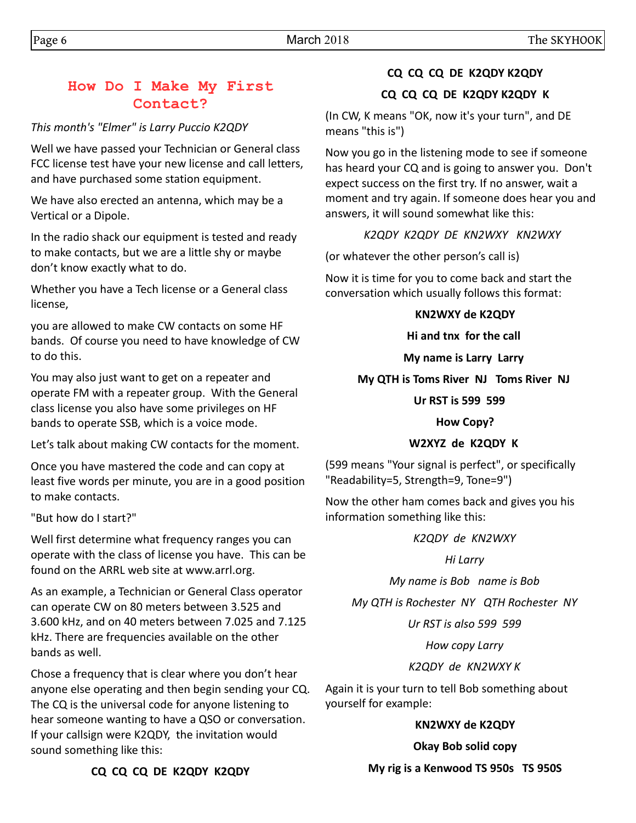## **How Do I Make My First Contact?**

## *This month's "Elmer" is Larry Puccio K2QDY*

Well we have passed your Technician or General class FCC license test have your new license and call letters, and have purchased some station equipment.

We have also erected an antenna, which may be a Vertical or a Dipole.

In the radio shack our equipment is tested and ready to make contacts, but we are a little shy or maybe don't know exactly what to do.

Whether you have a Tech license or a General class license,

you are allowed to make CW contacts on some HF bands. Of course you need to have knowledge of CW to do this.

You may also just want to get on a repeater and operate FM with a repeater group. With the General class license you also have some privileges on HF bands to operate SSB, which is a voice mode.

Let's talk about making CW contacts for the moment.

Once you have mastered the code and can copy at least five words per minute, you are in a good position to make contacts.

"But how do I start?"

Well first determine what frequency ranges you can operate with the class of license you have. This can be found on the ARRL web site at www.arrl.org.

As an example, a Technician or General Class operator can operate CW on 80 meters between 3.525 and 3.600 kHz, and on 40 meters between 7.025 and 7.125 kHz. There are frequencies available on the other bands as well.

Chose a frequency that is clear where you don't hear anyone else operating and then begin sending your CQ. The CQ is the universal code for anyone listening to hear someone wanting to have a QSO or conversation. If your callsign were K2QDY, the invitation would sound something like this:

## **CQ CQ CQ DE K2QDY K2QDY**

## **CQ CQ CQ DE K2QDY K2QDY K**

(In CW, K means "OK, now it's your turn", and DE means "this is")

Now you go in the listening mode to see if someone has heard your CQ and is going to answer you. Don't expect success on the first try. If no answer, wait a moment and try again. If someone does hear you and answers, it will sound somewhat like this:

*K2QDY K2QDY DE KN2WXY KN2WXY* 

(or whatever the other person's call is)

Now it is time for you to come back and start the conversation which usually follows this format:

## **KN2WXY de K2QDY**

**Hi and tnx for the call** 

## **My name is Larry Larry**

## **My QTH is Toms River NJ Toms River NJ**

## **Ur RST is 599 599**

## **How Copy?**

## **W2XYZ de K2QDY K**

(599 means "Your signal is perfect", or specifically "Readability=5, Strength=9, Tone=9")

Now the other ham comes back and gives you his information something like this:

## *K2QDY de KN2WXY*

## *Hi Larry*

*My name is Bob name is Bob*

*My QTH is Rochester NY QTH Rochester NY*

*Ur RST is also 599 599*

*How copy Larry*

## *K2QDY de KN2WXY K*

Again it is your turn to tell Bob something about yourself for example:

## **KN2WXY de K2QDY**

**Okay Bob solid copy**

**My rig is a Kenwood TS 950s TS 950S**

**CQ CQ CQ DE K2QDY K2QDY**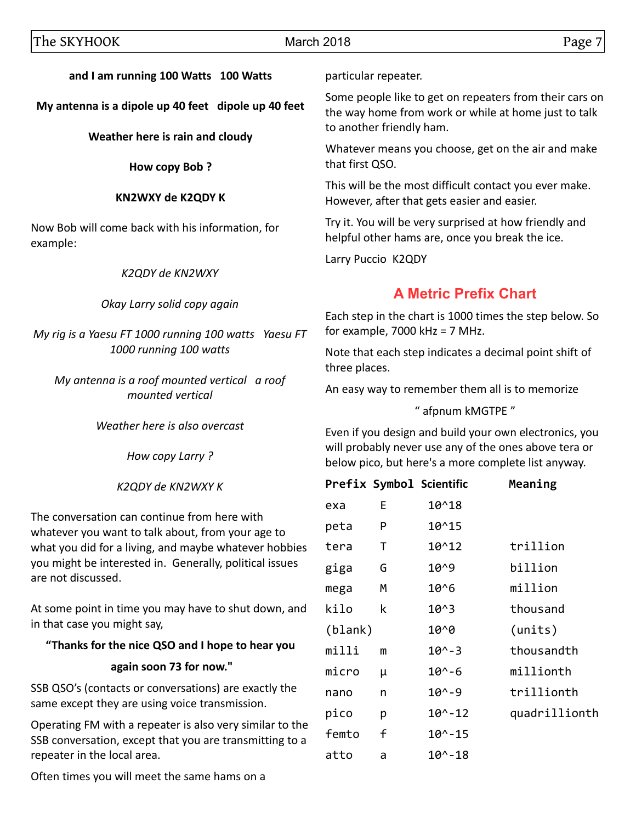#### **and I am running 100 Watts 100 Watts**

**My antenna is a dipole up 40 feet dipole up 40 feet**

**Weather here is rain and cloudy**

**How copy Bob ?**

#### **KN2WXY de K2QDY K**

Now Bob will come back with his information, for example:

#### *K2QDY de KN2WXY*

#### *Okay Larry solid copy again*

*My rig is a Yaesu FT 1000 running 100 watts Yaesu FT 1000 running 100 watts*

*My antenna is a roof mounted vertical a roof mounted vertical*

*Weather here is also overcast*

*How copy Larry ?*

*K2QDY de KN2WXY K*

The conversation can continue from here with whatever you want to talk about, from your age to what you did for a living, and maybe whatever hobbies you might be interested in. Generally, political issues are not discussed.

At some point in time you may have to shut down, and in that case you might say,

## **"Thanks for the nice QSO and I hope to hear you**

## **again soon 73 for now."**

SSB QSO's (contacts or conversations) are exactly the same except they are using voice transmission.

Operating FM with a repeater is also very similar to the SSB conversation, except that you are transmitting to a repeater in the local area.

Often times you will meet the same hams on a

particular repeater.

Some people like to get on repeaters from their cars on the way home from work or while at home just to talk to another friendly ham.

Whatever means you choose, get on the air and make that first QSO.

This will be the most difficult contact you ever make. However, after that gets easier and easier.

Try it. You will be very surprised at how friendly and helpful other hams are, once you break the ice.

Larry Puccio K2QDY

## **A Metric Prefix Chart**

Each step in the chart is 1000 times the step below. So for example, 7000 kHz = 7 MHz.

Note that each step indicates a decimal point shift of three places.

An easy way to remember them all is to memorize

" afpnum kMGTPE "

Even if you design and build your own electronics, you will probably never use any of the ones above tera or below pico, but here's a more complete list anyway.

|         |   | Prefix Symbol Scientific | Meaning       |
|---------|---|--------------------------|---------------|
| exa     | E | 10^18                    |               |
| peta    | P | 10^15                    |               |
| tera    | Т | 10^12                    | trillion      |
| giga    | G | 10^9                     | billion       |
| mega    | м | $10^{6}$                 | million       |
| kilo    | k | $10^{0.3}$               | thousand      |
| (blank) |   | 10^0                     | (units)       |
| milli   | m | $10^{\circ} - 3$         | thousandth    |
| micro   | μ | $10^{\wedge} - 6$        | millionth     |
| nano    | n | $10^{\circ} - 9$         | trillionth    |
| pico    | р | $10^{\wedge} - 12$       | quadrillionth |
| femto   | f | $10^{\circ} - 15$        |               |
| atto    | a | 10^-18                   |               |